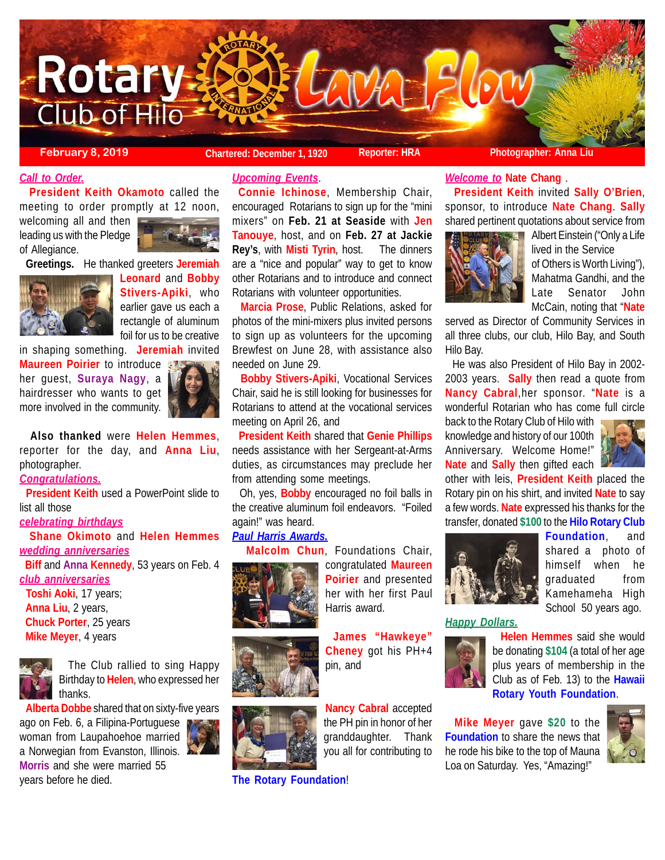

**February 8, 2019 Chartered: December 1, 1920 Reporter: HRA Photographer: Anna Liu**

## *Call to Order.*

 **President Keith Okamoto** called the meeting to order promptly at 12 noon,

welcoming all and then leading us with the Pledge of Allegiance.



 **Greetings.** He thanked greeters **Jeremiah**



**Leonard** and **Bobby Stivers-Apiki**, who earlier gave us each a rectangle of aluminum foil for us to be creative

in shaping something. **Jeremiah** invited

**Maureen Poirier** to introduce her guest, **Suraya Nagy**, a hairdresser who wants to get more involved in the community.



 **Also thanked** were **Helen Hemmes**, reporter for the day, and **Anna Liu**, photographer.

# *Congratulations.*

 **President Keith** used a PowerPoint slide to list all those

## *celebrating birthdays*

 **Shane Okimoto** and **Helen Hemmes** *wedding anniversaries*

 **Biff** and **Anna Kennedy**, 53 years on Feb. 4 *club anniversaries*

 **Toshi Aoki**, 17 years; **Anna Liu**, 2 years, **Chuck Porter**, 25 years **Mike Meyer**, 4 years



 The Club rallied to sing Happy Birthday to **Helen**, who expressed her thanks.

**Alberta Dobbe** shared that on sixty-five years

ago on Feb. 6, a Filipina-Portuguese woman from Laupahoehoe married a Norwegian from Evanston, Illinois. **Morris** and she were married 55 years before he died.



*Upcoming Events*.

**Connie Ichinose**, Membership Chair, encouraged Rotarians to sign up for the "mini mixers" on **Feb. 21 at Seaside** with **Jen Tanouye**, host, and on **Feb. 27 at Jackie Rey's**, with **Misti Tyrin**, host. The dinners are a "nice and popular" way to get to know other Rotarians and to introduce and connect Rotarians with volunteer opportunities.

 **Marcia Prose**, Public Relations, asked for photos of the mini-mixers plus invited persons to sign up as volunteers for the upcoming Brewfest on June 28, with assistance also needed on June 29.

 **Bobby Stivers-Apiki**, Vocational Services Chair, said he is still looking for businesses for Rotarians to attend at the vocational services meeting on April 26, and

 **President Keith** shared that **Genie Phillips** needs assistance with her Sergeant-at-Arms duties, as circumstances may preclude her from attending some meetings.

 Oh, yes, **Bobby** encouraged no foil balls in the creative aluminum foil endeavors. "Foiled again!" was heard.

## *Paul Harris Awards.*

**Malcolm Chun**, Foundations Chair,



congratulated **Maureen Poirier** and presented her with her first Paul Harris award.

**James "Hawkeye" Cheney** got his PH+4 pin, and

**Nancy Cabral** accepted the PH pin in honor of her granddaughter. Thank you all for contributing to

**The Rotary Foundation**!

#### *Welcome to* **Nate Chang** .

 **President Keith** invited **Sally O'Brien**, sponsor, to introduce **Nate Chang**. **Sally** shared pertinent quotations about service from



Albert Einstein ("Only a Life lived in the Service of Others is Worth Living"), Mahatma Gandhi, and the Late Senator John McCain, noting that "**Nate**

served as Director of Community Services in all three clubs, our club, Hilo Bay, and South Hilo Bay.

 He was also President of Hilo Bay in 2002- 2003 years. **Sally** then read a quote from **Nancy Cabral**,her sponsor. "**Nate** is a wonderful Rotarian who has come full circle

back to the Rotary Club of Hilo with knowledge and history of our 100th Anniversary. Welcome Home!" **Nate** and **Sally** then gifted each



other with leis, **President Keith** placed the Rotary pin on his shirt, and invited **Nate** to say a few words. **Nate** expressed his thanks for the transfer, donated **\$100** to the **Hilo Rotary Club**



**Foundation**, and shared a photo of himself when he graduated from Kamehameha High School 50 years ago.

*Happy Dollars.*



 **Helen Hemmes** said she would be donating **\$104** (a total of her age plus years of membership in the Club as of Feb. 13) to the **Hawaii Rotary Youth Foundation**.

 **Mike Meyer** gave **\$20** to the **Foundation** to share the news that he rode his bike to the top of Mauna Loa on Saturday. Yes, "Amazing!"